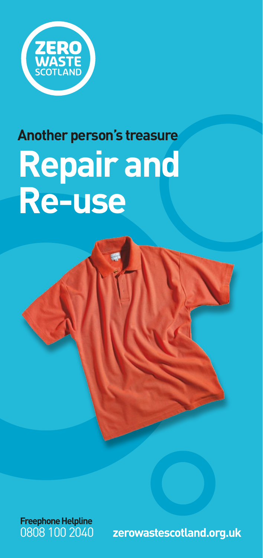

# **Another person's treasure Repair and Re-use**



**Freephone Helpline**

0808 100 2040 **zerowastescotland.org.uk**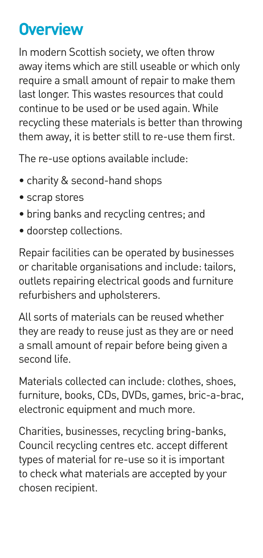# **Overview**

In modern Scottish society, we often throw away items which are still useable or which only require a small amount of repair to make them last longer. This wastes resources that could continue to be used or be used again. While recycling these materials is better than throwing them away, it is better still to re-use them first.

The re-use options available include:

- charity & second-hand shops
- scrap stores
- bring banks and recycling centres; and
- doorstep collections.

Repair facilities can be operated by businesses or charitable organisations and include: tailors, outlets repairing electrical goods and furniture refurbishers and upholsterers.

All sorts of materials can be reused whether they are ready to reuse just as they are or need a small amount of repair before being given a second life.

Materials collected can include: clothes, shoes, furniture, books, CDs, DVDs, games, bric-a-brac, electronic equipment and much more.

Charities, businesses, recycling bring-banks, Council recycling centres etc. accept different types of material for re-use so it is important to check what materials are accepted by your chosen recipient.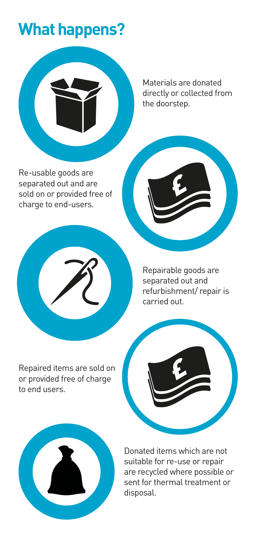# **What happens?**



Materials are donated directly or collected from the doorstep.

Re-usable goods are separated out and are sold on or provided free of charge to end-users.

> Repairable goods are separated out and refurbishment/ repair is carried out.

Repaired items are sold on or provided free of charge to end users.





Donated items which are not suitable for re-use or repair are recycled where possible or sent for thermal treatment or disposal.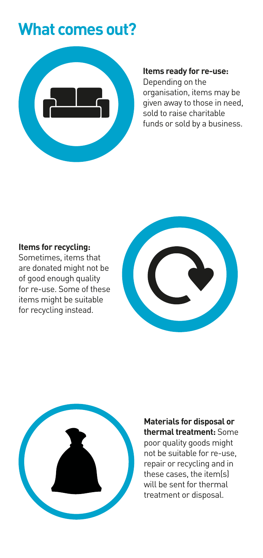# **What comes out?**



#### **Items ready for re-use:**

Depending on the organisation, items may be given away to those in need, sold to raise charitable funds or sold by a business.

#### **Items for recycling:**

Sometimes, items that are donated might not be of good enough quality for re-use. Some of these items might be suitable for recycling instead.





**Materials for disposal or thermal treatment:** Some poor quality goods might not be suitable for re-use, repair or recycling and in these cases, the item(s) will be sent for thermal treatment or disposal.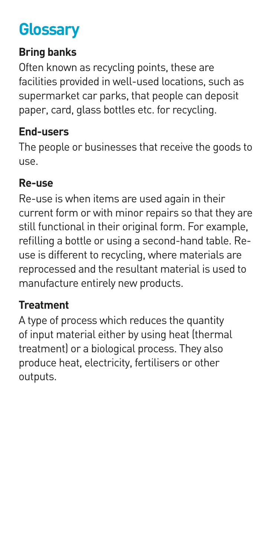# **Glossary**

# **Bring banks**

Often known as recycling points, these are facilities provided in well-used locations, such as supermarket car parks, that people can deposit paper, card, glass bottles etc. for recycling.

# **End-users**

The people or businesses that receive the goods to use.

# **Re-use**

Re-use is when items are used again in their current form or with minor repairs so that they are still functional in their original form. For example, refilling a bottle or using a second-hand table. Reuse is different to recycling, where materials are reprocessed and the resultant material is used to manufacture entirely new products.

# **Treatment**

A type of process which reduces the quantity of input material either by using heat (thermal treatment) or a biological process. They also produce heat, electricity, fertilisers or other outputs.